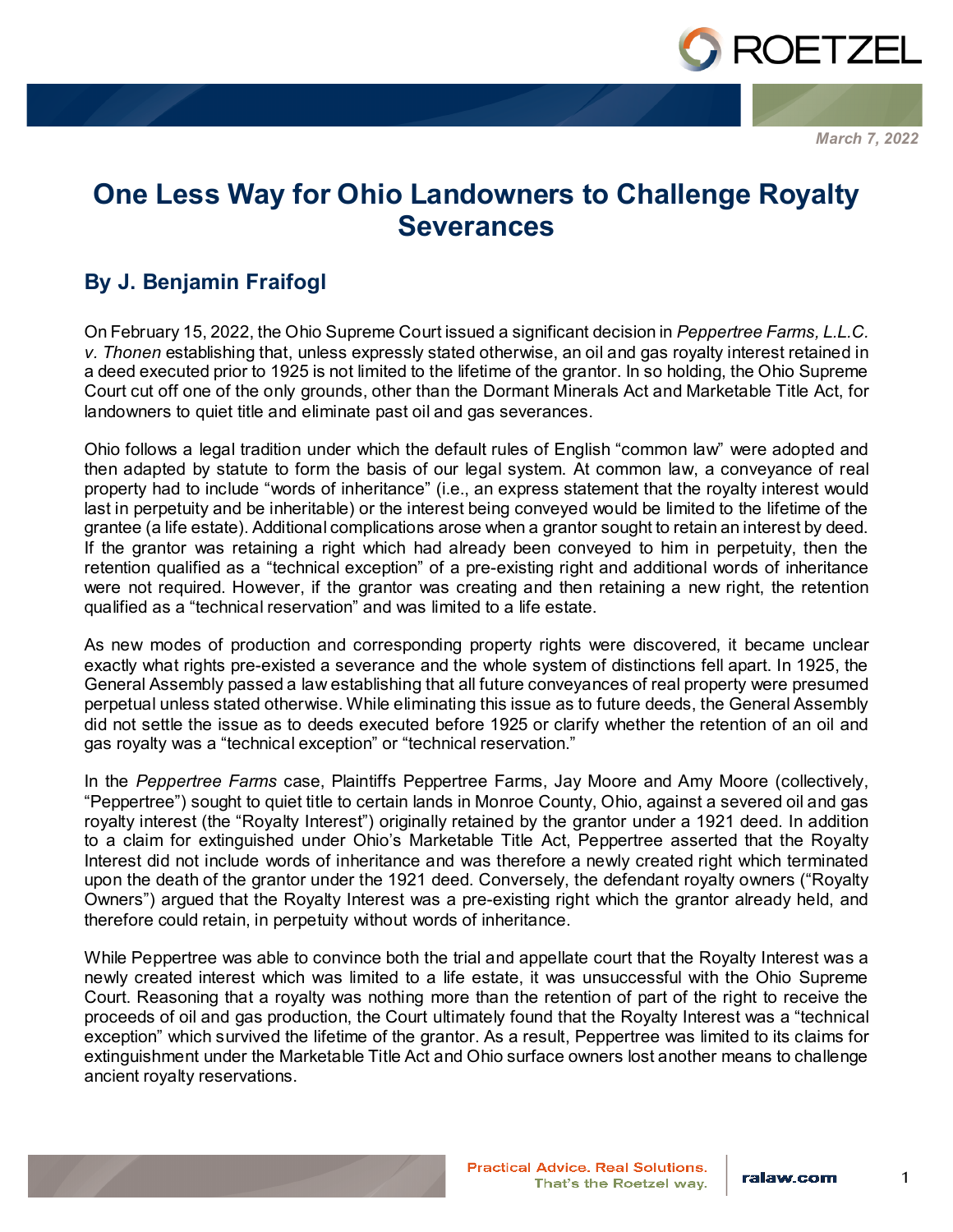

*March 7, 2022*

## **One Less Way for Ohio Landowners to Challenge Royalty Severances**

## **By J. Benjamin Fraifogl**

On February 15, 2022, the Ohio Supreme Court issued a significant decision in *Peppertree Farms, L.L.C. v. Thonen* establishing that, unless expressly stated otherwise, an oil and gas royalty interest retained in a deed executed prior to 1925 is not limited to the lifetime of the grantor. In so holding, the Ohio Supreme Court cut off one of the only grounds, other than the Dormant Minerals Act and Marketable Title Act, for landowners to quiet title and eliminate past oil and gas severances.

Ohio follows a legal tradition under which the default rules of English "common law" were adopted and then adapted by statute to form the basis of our legal system. At common law, a conveyance of real property had to include "words of inheritance" (i.e., an express statement that the royalty interest would last in perpetuity and be inheritable) or the interest being conveyed would be limited to the lifetime of the grantee (a life estate). Additional complications arose when a grantor sought to retain an interest by deed. If the grantor was retaining a right which had already been conveyed to him in perpetuity, then the retention qualified as a "technical exception" of a pre-existing right and additional words of inheritance were not required. However, if the grantor was creating and then retaining a new right, the retention qualified as a "technical reservation" and was limited to a life estate.

As new modes of production and corresponding property rights were discovered, it became unclear exactly what rights pre-existed a severance and the whole system of distinctions fell apart. In 1925, the General Assembly passed a law establishing that all future conveyances of real property were presumed perpetual unless stated otherwise. While eliminating this issue as to future deeds, the General Assembly did not settle the issue as to deeds executed before 1925 or clarify whether the retention of an oil and gas royalty was a "technical exception" or "technical reservation."

In the *Peppertree Farms* case, Plaintiffs Peppertree Farms, Jay Moore and Amy Moore (collectively, "Peppertree") sought to quiet title to certain lands in Monroe County, Ohio, against a severed oil and gas royalty interest (the "Royalty Interest") originally retained by the grantor under a 1921 deed. In addition to a claim for extinguished under Ohio's Marketable Title Act, Peppertree asserted that the Royalty Interest did not include words of inheritance and was therefore a newly created right which terminated upon the death of the grantor under the 1921 deed. Conversely, the defendant royalty owners ("Royalty Owners") argued that the Royalty Interest was a pre-existing right which the grantor already held, and therefore could retain, in perpetuity without words of inheritance.

While Peppertree was able to convince both the trial and appellate court that the Royalty Interest was a newly created interest which was limited to a life estate, it was unsuccessful with the Ohio Supreme Court. Reasoning that a royalty was nothing more than the retention of part of the right to receive the proceeds of oil and gas production, the Court ultimately found that the Royalty Interest was a "technical exception" which survived the lifetime of the grantor. As a result, Peppertree was limited to its claims for extinguishment under the Marketable Title Act and Ohio surface owners lost another means to challenge ancient royalty reservations.